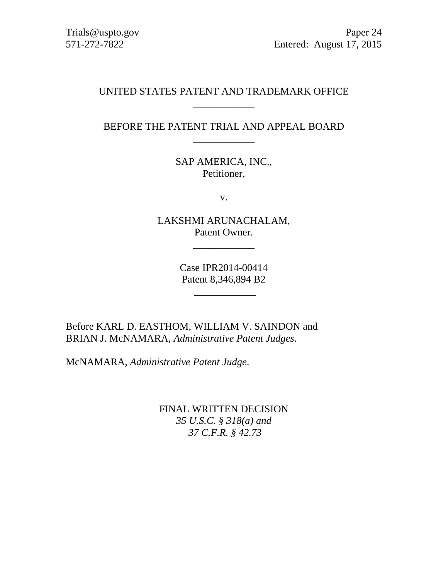Trials@uspto.gov 571-272-7822

Paper 24 Entered: August 17, 2015

## UNITED STATES PATENT AND TRADEMARK OFFICE \_\_\_\_\_\_\_\_\_\_\_\_

# BEFORE THE PATENT TRIAL AND APPEAL BOARD \_\_\_\_\_\_\_\_\_\_\_\_

SAP AMERICA, INC., Petitioner,

v.

LAKSHMI ARUNACHALAM, Patent Owner.

\_\_\_\_\_\_\_\_\_\_\_\_

Case IPR2014-00414 Patent 8,346,894 B2

 $\overline{\phantom{a}}$   $\overline{\phantom{a}}$   $\overline{\phantom{a}}$   $\overline{\phantom{a}}$   $\overline{\phantom{a}}$   $\overline{\phantom{a}}$   $\overline{\phantom{a}}$   $\overline{\phantom{a}}$   $\overline{\phantom{a}}$   $\overline{\phantom{a}}$   $\overline{\phantom{a}}$   $\overline{\phantom{a}}$   $\overline{\phantom{a}}$   $\overline{\phantom{a}}$   $\overline{\phantom{a}}$   $\overline{\phantom{a}}$   $\overline{\phantom{a}}$   $\overline{\phantom{a}}$   $\overline{\$ 

Before KARL D. EASTHOM, WILLIAM V. SAINDON and BRIAN J. McNAMARA, *Administrative Patent Judges*.

McNAMARA, *Administrative Patent Judge*.

FINAL WRITTEN DECISION *35 U.S.C. § 318(a) and 37 C.F.R. § 42.73*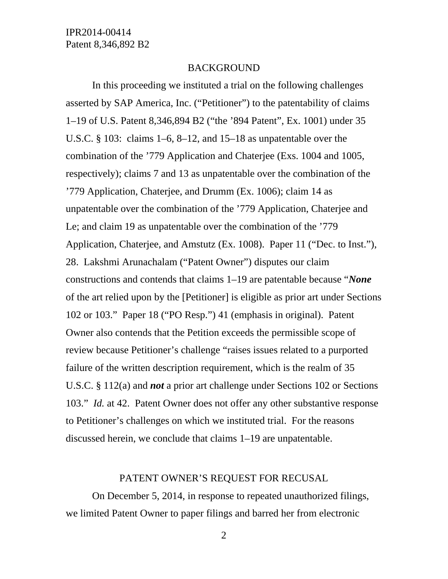#### BACKGROUND

In this proceeding we instituted a trial on the following challenges asserted by SAP America, Inc. ("Petitioner") to the patentability of claims 1–19 of U.S. Patent 8,346,894 B2 ("the '894 Patent", Ex. 1001) under 35 U.S.C. § 103: claims 1–6, 8–12, and 15–18 as unpatentable over the combination of the '779 Application and Chaterjee (Exs. 1004 and 1005, respectively); claims 7 and 13 as unpatentable over the combination of the '779 Application, Chaterjee, and Drumm (Ex. 1006); claim 14 as unpatentable over the combination of the '779 Application, Chaterjee and Le; and claim 19 as unpatentable over the combination of the '779 Application, Chaterjee, and Amstutz (Ex. 1008). Paper 11 ("Dec. to Inst."), 28. Lakshmi Arunachalam ("Patent Owner") disputes our claim constructions and contends that claims 1–19 are patentable because "*None* of the art relied upon by the [Petitioner] is eligible as prior art under Sections 102 or 103." Paper 18 ("PO Resp.") 41 (emphasis in original). Patent Owner also contends that the Petition exceeds the permissible scope of review because Petitioner's challenge "raises issues related to a purported failure of the written description requirement, which is the realm of 35 U.S.C. § 112(a) and *not* a prior art challenge under Sections 102 or Sections 103." *Id.* at 42. Patent Owner does not offer any other substantive response to Petitioner's challenges on which we instituted trial. For the reasons discussed herein, we conclude that claims 1–19 are unpatentable.

#### PATENT OWNER'S REQUEST FOR RECUSAL

On December 5, 2014, in response to repeated unauthorized filings, we limited Patent Owner to paper filings and barred her from electronic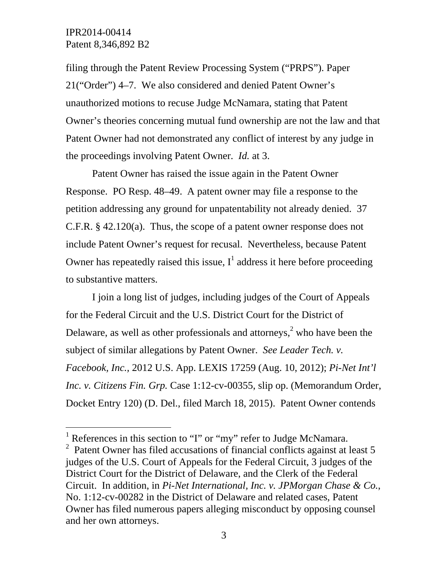l

filing through the Patent Review Processing System ("PRPS"). Paper 21("Order") 4–7. We also considered and denied Patent Owner's unauthorized motions to recuse Judge McNamara, stating that Patent Owner's theories concerning mutual fund ownership are not the law and that Patent Owner had not demonstrated any conflict of interest by any judge in the proceedings involving Patent Owner. *Id.* at 3.

Patent Owner has raised the issue again in the Patent Owner Response. PO Resp. 48–49. A patent owner may file a response to the petition addressing any ground for unpatentability not already denied. 37 C.F.R. § 42.120(a). Thus, the scope of a patent owner response does not include Patent Owner's request for recusal. Nevertheless, because Patent Owner has repeatedly raised this issue,  $I^1$  address it here before proceeding to substantive matters.

I join a long list of judges, including judges of the Court of Appeals for the Federal Circuit and the U.S. District Court for the District of Delaware, as well as other professionals and attorneys, $<sup>2</sup>$  who have been the</sup> subject of similar allegations by Patent Owner. *See Leader Tech. v. Facebook, Inc.,* 2012 U.S. App. LEXIS 17259 (Aug. 10, 2012); *Pi-Net Int'l Inc. v. Citizens Fin. Grp.* Case 1:12-cv-00355, slip op. (Memorandum Order, Docket Entry 120) (D. Del., filed March 18, 2015). Patent Owner contends

<sup>&</sup>lt;sup>1</sup> References in this section to "I" or "my" refer to Judge McNamara.

<sup>&</sup>lt;sup>2</sup> Patent Owner has filed accusations of financial conflicts against at least 5 judges of the U.S. Court of Appeals for the Federal Circuit, 3 judges of the District Court for the District of Delaware, and the Clerk of the Federal Circuit. In addition, in *Pi-Net International, Inc. v. JPMorgan Chase & Co.*, No. 1:12-cv-00282 in the District of Delaware and related cases, Patent Owner has filed numerous papers alleging misconduct by opposing counsel and her own attorneys.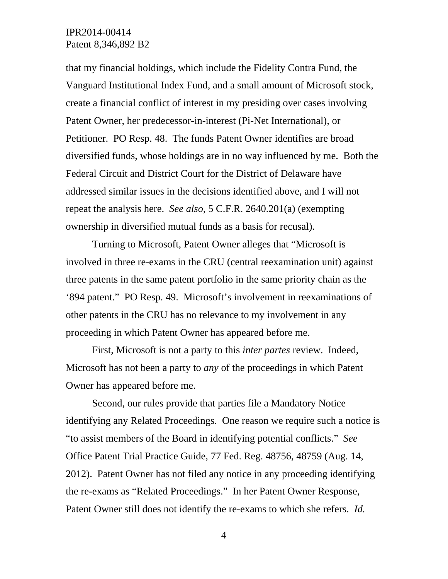that my financial holdings, which include the Fidelity Contra Fund, the Vanguard Institutional Index Fund, and a small amount of Microsoft stock, create a financial conflict of interest in my presiding over cases involving Patent Owner, her predecessor-in-interest (Pi-Net International), or Petitioner. PO Resp. 48. The funds Patent Owner identifies are broad diversified funds, whose holdings are in no way influenced by me. Both the Federal Circuit and District Court for the District of Delaware have addressed similar issues in the decisions identified above, and I will not repeat the analysis here. *See also*, 5 C.F.R. 2640.201(a) (exempting ownership in diversified mutual funds as a basis for recusal).

Turning to Microsoft, Patent Owner alleges that "Microsoft is involved in three re-exams in the CRU (central reexamination unit) against three patents in the same patent portfolio in the same priority chain as the '894 patent." PO Resp. 49. Microsoft's involvement in reexaminations of other patents in the CRU has no relevance to my involvement in any proceeding in which Patent Owner has appeared before me.

First, Microsoft is not a party to this *inter partes* review. Indeed, Microsoft has not been a party to *any* of the proceedings in which Patent Owner has appeared before me.

Second, our rules provide that parties file a Mandatory Notice identifying any Related Proceedings. One reason we require such a notice is "to assist members of the Board in identifying potential conflicts." *See* Office Patent Trial Practice Guide, 77 Fed. Reg. 48756, 48759 (Aug. 14, 2012). Patent Owner has not filed any notice in any proceeding identifying the re-exams as "Related Proceedings." In her Patent Owner Response, Patent Owner still does not identify the re-exams to which she refers. *Id.*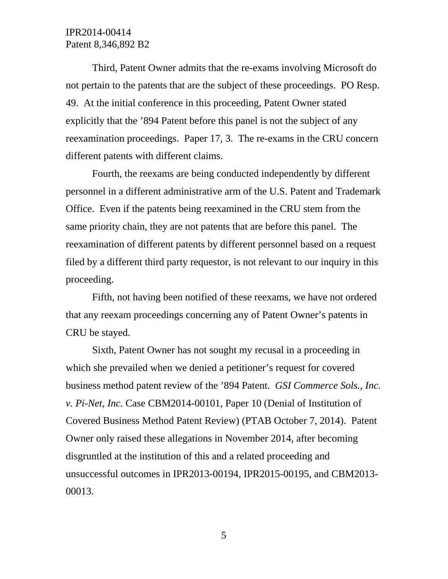Third, Patent Owner admits that the re-exams involving Microsoft do not pertain to the patents that are the subject of these proceedings. PO Resp. 49. At the initial conference in this proceeding, Patent Owner stated explicitly that the '894 Patent before this panel is not the subject of any reexamination proceedings. Paper 17, 3. The re-exams in the CRU concern different patents with different claims.

Fourth, the reexams are being conducted independently by different personnel in a different administrative arm of the U.S. Patent and Trademark Office. Even if the patents being reexamined in the CRU stem from the same priority chain, they are not patents that are before this panel. The reexamination of different patents by different personnel based on a request filed by a different third party requestor, is not relevant to our inquiry in this proceeding.

Fifth, not having been notified of these reexams, we have not ordered that any reexam proceedings concerning any of Patent Owner's patents in CRU be stayed.

Sixth, Patent Owner has not sought my recusal in a proceeding in which she prevailed when we denied a petitioner's request for covered business method patent review of the '894 Patent. *GSI Commerce Sols., Inc. v. Pi-Net, Inc.* Case CBM2014-00101, Paper 10 (Denial of Institution of Covered Business Method Patent Review) (PTAB October 7, 2014). Patent Owner only raised these allegations in November 2014, after becoming disgruntled at the institution of this and a related proceeding and unsuccessful outcomes in IPR2013-00194, IPR2015-00195, and CBM2013- 00013.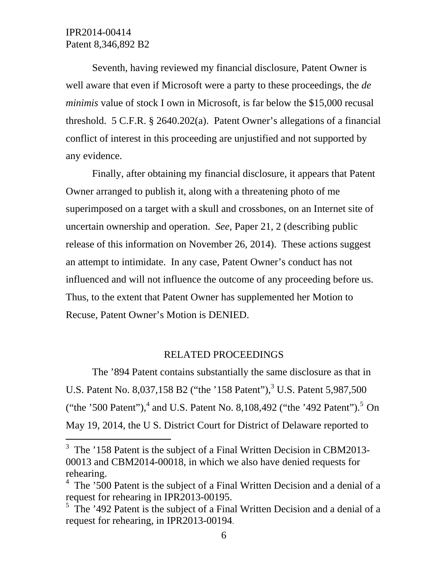-

Seventh, having reviewed my financial disclosure, Patent Owner is well aware that even if Microsoft were a party to these proceedings, the *de minimis* value of stock I own in Microsoft, is far below the \$15,000 recusal threshold. 5 C.F.R. § 2640.202(a). Patent Owner's allegations of a financial conflict of interest in this proceeding are unjustified and not supported by any evidence.

Finally, after obtaining my financial disclosure, it appears that Patent Owner arranged to publish it, along with a threatening photo of me superimposed on a target with a skull and crossbones, on an Internet site of uncertain ownership and operation. *See*, Paper 21, 2 (describing public release of this information on November 26, 2014). These actions suggest an attempt to intimidate. In any case, Patent Owner's conduct has not influenced and will not influence the outcome of any proceeding before us. Thus, to the extent that Patent Owner has supplemented her Motion to Recuse, Patent Owner's Motion is DENIED.

# RELATED PROCEEDINGS

The '894 Patent contains substantially the same disclosure as that in U.S. Patent No. 8,037,158 B2 ("the '158 Patent"),<sup>3</sup> U.S. Patent 5,987,500 ("the '500 Patent"),<sup>4</sup> and U.S. Patent No. 8,108,492 ("the '492 Patent").<sup>5</sup> On May 19, 2014, the U S. District Court for District of Delaware reported to

<sup>&</sup>lt;sup>3</sup> The '158 Patent is the subject of a Final Written Decision in CBM2013-00013 and CBM2014-00018, in which we also have denied requests for rehearing.

 $4$  The '500 Patent is the subject of a Final Written Decision and a denial of a request for rehearing in IPR2013-00195.

 $5$  The '492 Patent is the subject of a Final Written Decision and a denial of a request for rehearing, in IPR2013-00194.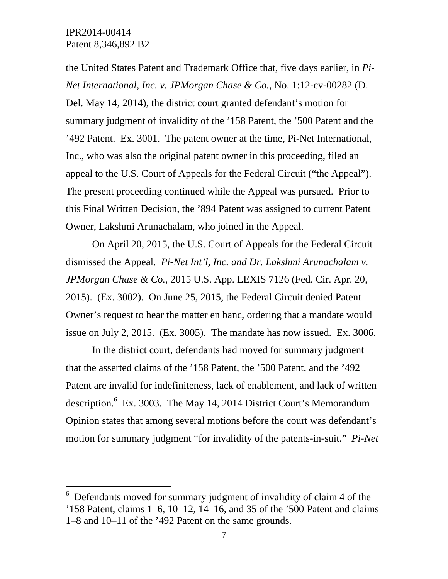-

the United States Patent and Trademark Office that, five days earlier, in *Pi-Net International, Inc. v. JPMorgan Chase & Co.*, No. 1:12-cv-00282 (D. Del. May 14, 2014), the district court granted defendant's motion for summary judgment of invalidity of the '158 Patent, the '500 Patent and the '492 Patent. Ex. 3001. The patent owner at the time, Pi-Net International, Inc., who was also the original patent owner in this proceeding, filed an appeal to the U.S. Court of Appeals for the Federal Circuit ("the Appeal"). The present proceeding continued while the Appeal was pursued. Prior to this Final Written Decision, the '894 Patent was assigned to current Patent Owner, Lakshmi Arunachalam, who joined in the Appeal.

On April 20, 2015, the U.S. Court of Appeals for the Federal Circuit dismissed the Appeal. *Pi-Net Int'l, Inc. and Dr. Lakshmi Arunachalam v. JPMorgan Chase & Co.*, 2015 U.S. App. LEXIS 7126 (Fed. Cir. Apr. 20, 2015). (Ex. 3002). On June 25, 2015, the Federal Circuit denied Patent Owner's request to hear the matter en banc, ordering that a mandate would issue on July 2, 2015. (Ex. 3005). The mandate has now issued. Ex. 3006.

In the district court, defendants had moved for summary judgment that the asserted claims of the '158 Patent, the '500 Patent, and the '492 Patent are invalid for indefiniteness, lack of enablement, and lack of written description.  $6$  Ex. 3003. The May 14, 2014 District Court's Memorandum Opinion states that among several motions before the court was defendant's motion for summary judgment "for invalidity of the patents-in-suit." *Pi-Net* 

<sup>6</sup> Defendants moved for summary judgment of invalidity of claim 4 of the '158 Patent, claims 1–6, 10–12, 14–16, and 35 of the '500 Patent and claims 1–8 and 10–11 of the '492 Patent on the same grounds.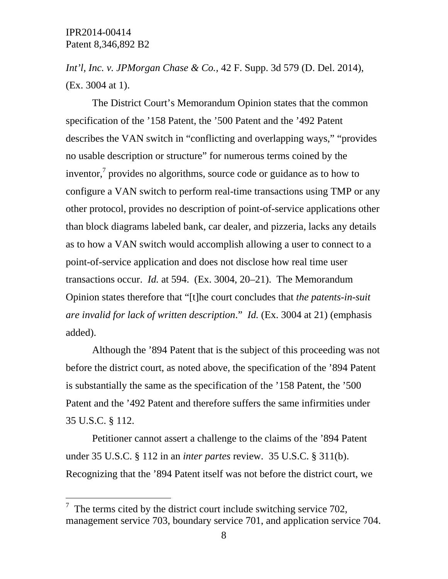-

*Int'l, Inc. v. JPMorgan Chase & Co.,* 42 F. Supp. 3d 579 (D. Del. 2014), (Ex. 3004 at 1).

The District Court's Memorandum Opinion states that the common specification of the '158 Patent, the '500 Patent and the '492 Patent describes the VAN switch in "conflicting and overlapping ways," "provides no usable description or structure" for numerous terms coined by the inventor, $\alpha$  provides no algorithms, source code or guidance as to how to configure a VAN switch to perform real-time transactions using TMP or any other protocol, provides no description of point-of-service applications other than block diagrams labeled bank, car dealer, and pizzeria, lacks any details as to how a VAN switch would accomplish allowing a user to connect to a point-of-service application and does not disclose how real time user transactions occur. *Id.* at 594. (Ex. 3004, 20–21). The Memorandum Opinion states therefore that "[t]he court concludes that *the patents-in-suit are invalid for lack of written description*." *Id.* (Ex. 3004 at 21) (emphasis added).

Although the '894 Patent that is the subject of this proceeding was not before the district court, as noted above, the specification of the '894 Patent is substantially the same as the specification of the '158 Patent, the '500 Patent and the '492 Patent and therefore suffers the same infirmities under 35 U.S.C. § 112.

Petitioner cannot assert a challenge to the claims of the '894 Patent under 35 U.S.C. § 112 in an *inter partes* review. 35 U.S.C. § 311(b). Recognizing that the '894 Patent itself was not before the district court, we

 $\frac{7}{1}$  The terms cited by the district court include switching service 702, management service 703, boundary service 701, and application service 704.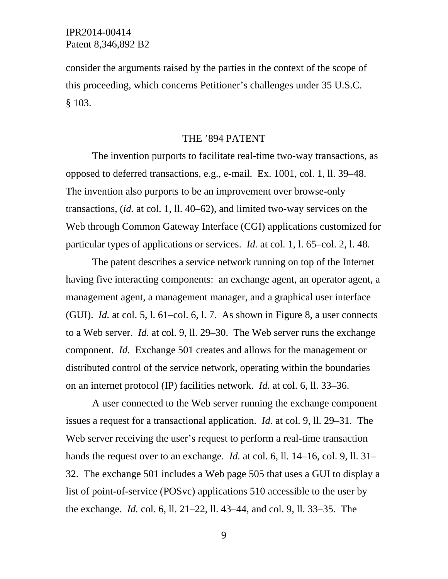consider the arguments raised by the parties in the context of the scope of this proceeding, which concerns Petitioner's challenges under 35 U.S.C. § 103.

### THE '894 PATENT

The invention purports to facilitate real-time two-way transactions, as opposed to deferred transactions, e.g., e-mail. Ex. 1001, col. 1, ll. 39–48. The invention also purports to be an improvement over browse-only transactions, (*id.* at col. 1, ll. 40–62), and limited two-way services on the Web through Common Gateway Interface (CGI) applications customized for particular types of applications or services. *Id.* at col. 1, l. 65–col. 2, l. 48.

The patent describes a service network running on top of the Internet having five interacting components: an exchange agent, an operator agent, a management agent, a management manager, and a graphical user interface (GUI). *Id.* at col. 5, l. 61–col. 6, l. 7. As shown in Figure 8, a user connects to a Web server. *Id.* at col. 9, ll. 29–30. The Web server runs the exchange component. *Id.* Exchange 501 creates and allows for the management or distributed control of the service network, operating within the boundaries on an internet protocol (IP) facilities network. *Id.* at col. 6, ll. 33–36.

A user connected to the Web server running the exchange component issues a request for a transactional application. *Id.* at col. 9, ll. 29–31*.* The Web server receiving the user's request to perform a real-time transaction hands the request over to an exchange. *Id.* at col. 6, ll. 14–16, col. 9, ll. 31– 32. The exchange 501 includes a Web page 505 that uses a GUI to display a list of point-of-service (POSvc) applications 510 accessible to the user by the exchange. *Id.* col. 6, ll. 21–22, ll. 43–44, and col. 9, ll. 33–35. The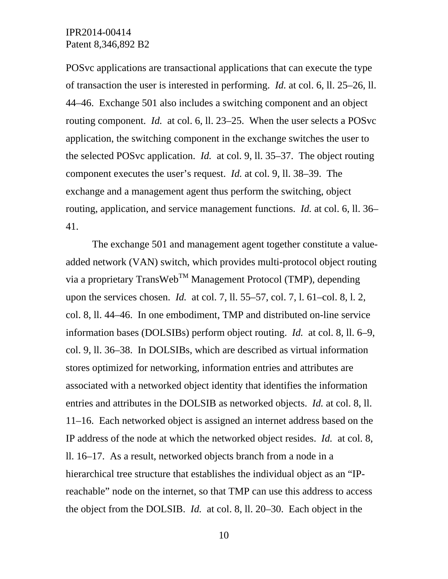POSvc applications are transactional applications that can execute the type of transaction the user is interested in performing. *Id.* at col. 6, ll. 25–26, ll. 44–46. Exchange 501 also includes a switching component and an object routing component. *Id.* at col. 6, ll. 23–25. When the user selects a POSvc application, the switching component in the exchange switches the user to the selected POSvc application. *Id.* at col. 9, ll. 35–37. The object routing component executes the user's request. *Id.* at col. 9, ll. 38–39. The exchange and a management agent thus perform the switching, object routing, application, and service management functions. *Id.* at col. 6, ll. 36– 41.

The exchange 501 and management agent together constitute a valueadded network (VAN) switch, which provides multi-protocol object routing via a proprietary TransWeb<sup>TM</sup> Management Protocol (TMP), depending upon the services chosen. *Id.* at col. 7, ll. 55–57, col. 7, l. 61–col. 8, l. 2, col. 8, ll. 44–46. In one embodiment, TMP and distributed on-line service information bases (DOLSIBs) perform object routing. *Id.* at col. 8, ll. 6–9, col. 9, ll. 36–38. In DOLSIBs, which are described as virtual information stores optimized for networking, information entries and attributes are associated with a networked object identity that identifies the information entries and attributes in the DOLSIB as networked objects. *Id.* at col. 8, ll. 11–16. Each networked object is assigned an internet address based on the IP address of the node at which the networked object resides. *Id.* at col. 8, ll. 16–17. As a result, networked objects branch from a node in a hierarchical tree structure that establishes the individual object as an "IPreachable" node on the internet, so that TMP can use this address to access the object from the DOLSIB. *Id.* at col. 8, ll. 20–30. Each object in the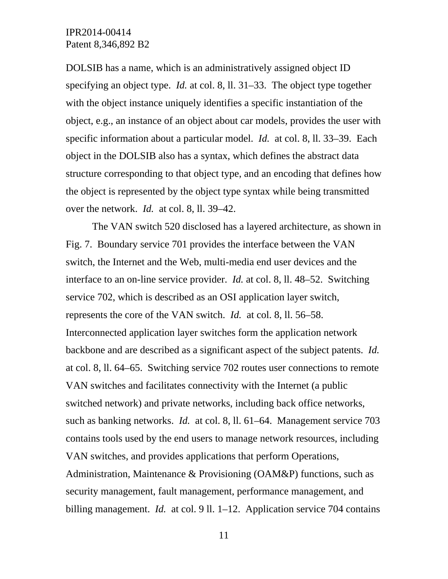DOLSIB has a name, which is an administratively assigned object ID specifying an object type. *Id.* at col. 8, ll. 31–33. The object type together with the object instance uniquely identifies a specific instantiation of the object, e.g., an instance of an object about car models, provides the user with specific information about a particular model. *Id.* at col. 8, ll. 33–39. Each object in the DOLSIB also has a syntax, which defines the abstract data structure corresponding to that object type, and an encoding that defines how the object is represented by the object type syntax while being transmitted over the network. *Id.* at col. 8, ll. 39–42.

The VAN switch 520 disclosed has a layered architecture, as shown in Fig. 7. Boundary service 701 provides the interface between the VAN switch, the Internet and the Web, multi-media end user devices and the interface to an on-line service provider. *Id.* at col. 8, ll. 48–52. Switching service 702, which is described as an OSI application layer switch, represents the core of the VAN switch. *Id.* at col. 8, ll. 56–58. Interconnected application layer switches form the application network backbone and are described as a significant aspect of the subject patents. *Id.* at col. 8, ll. 64–65. Switching service 702 routes user connections to remote VAN switches and facilitates connectivity with the Internet (a public switched network) and private networks, including back office networks, such as banking networks. *Id.* at col. 8, ll. 61–64. Management service 703 contains tools used by the end users to manage network resources, including VAN switches, and provides applications that perform Operations, Administration, Maintenance & Provisioning (OAM&P) functions, such as security management, fault management, performance management, and billing management. *Id.* at col. 9 ll. 1–12. Application service 704 contains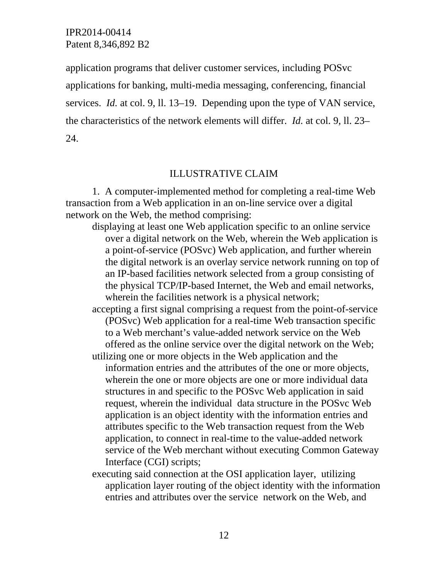application programs that deliver customer services, including POSvc applications for banking, multi-media messaging, conferencing, financial services. *Id.* at col. 9, ll. 13–19. Depending upon the type of VAN service, the characteristics of the network elements will differ. *Id.* at col. 9, ll. 23– 24.

### ILLUSTRATIVE CLAIM

1. A computer-implemented method for completing a real-time Web transaction from a Web application in an on-line service over a digital network on the Web, the method comprising:

displaying at least one Web application specific to an online service over a digital network on the Web, wherein the Web application is a point-of-service (POSvc) Web application, and further wherein the digital network is an overlay service network running on top of an IP-based facilities network selected from a group consisting of the physical TCP/IP-based Internet, the Web and email networks, wherein the facilities network is a physical network;

accepting a first signal comprising a request from the point-of-service (POSvc) Web application for a real-time Web transaction specific to a Web merchant's value-added network service on the Web offered as the online service over the digital network on the Web;

- utilizing one or more objects in the Web application and the information entries and the attributes of the one or more objects, wherein the one or more objects are one or more individual data structures in and specific to the POSvc Web application in said request, wherein the individual data structure in the POSvc Web application is an object identity with the information entries and attributes specific to the Web transaction request from the Web application, to connect in real-time to the value-added network service of the Web merchant without executing Common Gateway Interface (CGI) scripts;
- executing said connection at the OSI application layer, utilizing application layer routing of the object identity with the information entries and attributes over the service network on the Web, and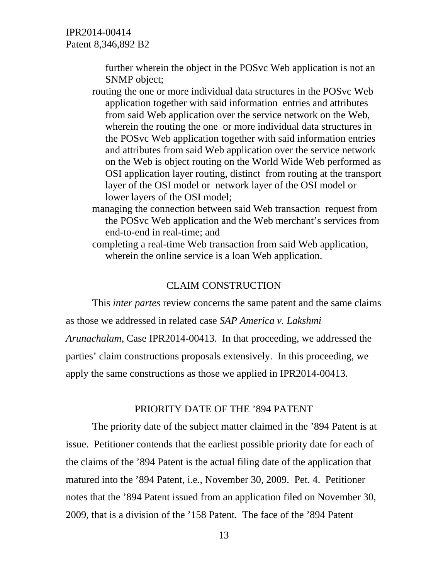> further wherein the object in the POSvc Web application is not an SNMP object;

- routing the one or more individual data structures in the POSvc Web application together with said information entries and attributes from said Web application over the service network on the Web, wherein the routing the one or more individual data structures in the POSvc Web application together with said information entries and attributes from said Web application over the service network on the Web is object routing on the World Wide Web performed as OSI application layer routing, distinct from routing at the transport layer of the OSI model or network layer of the OSI model or lower layers of the OSI model;
- managing the connection between said Web transaction request from the POSvc Web application and the Web merchant's services from end-to-end in real-time; and
- completing a real-time Web transaction from said Web application, wherein the online service is a loan Web application.

### CLAIM CONSTRUCTION

This *inter partes* review concerns the same patent and the same claims as those we addressed in related case *SAP America v. Lakshmi Arunachalam*, Case IPR2014-00413. In that proceeding, we addressed the

parties' claim constructions proposals extensively. In this proceeding, we

apply the same constructions as those we applied in IPR2014-00413.

#### PRIORITY DATE OF THE '894 PATENT

The priority date of the subject matter claimed in the '894 Patent is at issue. Petitioner contends that the earliest possible priority date for each of the claims of the '894 Patent is the actual filing date of the application that matured into the '894 Patent, i.e., November 30, 2009. Pet. 4. Petitioner notes that the '894 Patent issued from an application filed on November 30, 2009, that is a division of the '158 Patent. The face of the '894 Patent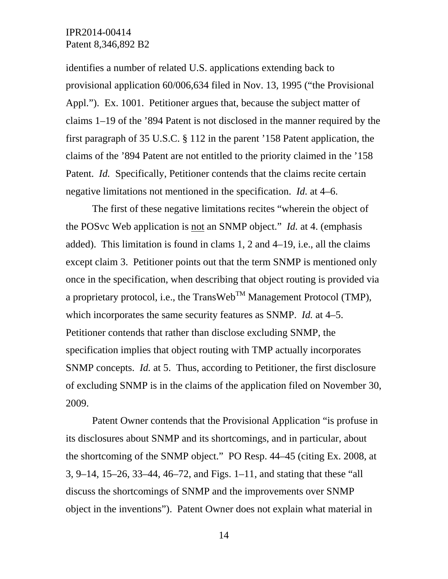identifies a number of related U.S. applications extending back to provisional application 60/006,634 filed in Nov. 13, 1995 ("the Provisional Appl."). Ex. 1001. Petitioner argues that, because the subject matter of claims 1–19 of the '894 Patent is not disclosed in the manner required by the first paragraph of 35 U.S.C. § 112 in the parent '158 Patent application, the claims of the '894 Patent are not entitled to the priority claimed in the '158 Patent. *Id.* Specifically, Petitioner contends that the claims recite certain negative limitations not mentioned in the specification. *Id.* at 4–6.

The first of these negative limitations recites "wherein the object of the POSvc Web application is not an SNMP object." *Id.* at 4. (emphasis added). This limitation is found in clams 1, 2 and 4–19, i.e., all the claims except claim 3. Petitioner points out that the term SNMP is mentioned only once in the specification, when describing that object routing is provided via a proprietary protocol, i.e., the TransWeb<sup>TM</sup> Management Protocol (TMP), which incorporates the same security features as SNMP. *Id.* at 4–5. Petitioner contends that rather than disclose excluding SNMP, the specification implies that object routing with TMP actually incorporates SNMP concepts. *Id.* at 5. Thus, according to Petitioner, the first disclosure of excluding SNMP is in the claims of the application filed on November 30, 2009.

Patent Owner contends that the Provisional Application "is profuse in its disclosures about SNMP and its shortcomings, and in particular, about the shortcoming of the SNMP object." PO Resp. 44–45 (citing Ex. 2008, at 3, 9–14, 15–26, 33–44, 46–72, and Figs. 1–11, and stating that these "all discuss the shortcomings of SNMP and the improvements over SNMP object in the inventions"). Patent Owner does not explain what material in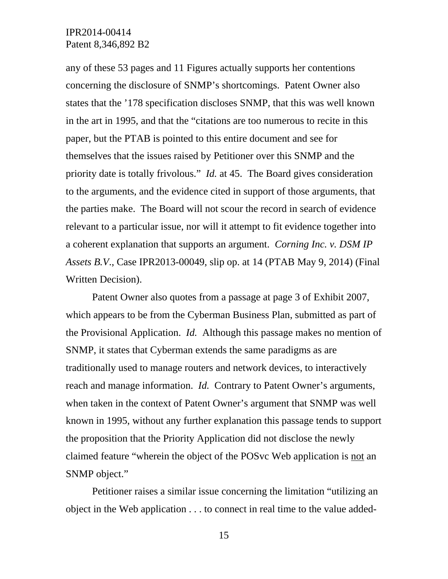any of these 53 pages and 11 Figures actually supports her contentions concerning the disclosure of SNMP's shortcomings. Patent Owner also states that the '178 specification discloses SNMP, that this was well known in the art in 1995, and that the "citations are too numerous to recite in this paper, but the PTAB is pointed to this entire document and see for themselves that the issues raised by Petitioner over this SNMP and the priority date is totally frivolous." *Id.* at 45. The Board gives consideration to the arguments, and the evidence cited in support of those arguments, that the parties make. The Board will not scour the record in search of evidence relevant to a particular issue, nor will it attempt to fit evidence together into a coherent explanation that supports an argument. *Corning Inc. v. DSM IP Assets B.V*., Case IPR2013-00049, slip op. at 14 (PTAB May 9, 2014) (Final Written Decision).

Patent Owner also quotes from a passage at page 3 of Exhibit 2007, which appears to be from the Cyberman Business Plan, submitted as part of the Provisional Application. *Id.* Although this passage makes no mention of SNMP, it states that Cyberman extends the same paradigms as are traditionally used to manage routers and network devices, to interactively reach and manage information. *Id.* Contrary to Patent Owner's arguments, when taken in the context of Patent Owner's argument that SNMP was well known in 1995, without any further explanation this passage tends to support the proposition that the Priority Application did not disclose the newly claimed feature "wherein the object of the POSvc Web application is not an SNMP object."

Petitioner raises a similar issue concerning the limitation "utilizing an object in the Web application . . . to connect in real time to the value added-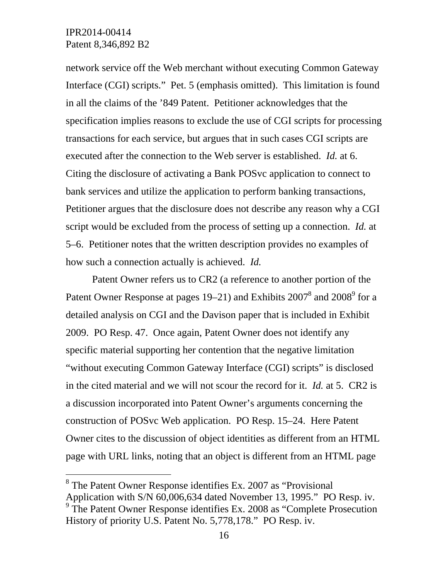-

network service off the Web merchant without executing Common Gateway Interface (CGI) scripts." Pet. 5 (emphasis omitted). This limitation is found in all the claims of the '849 Patent. Petitioner acknowledges that the specification implies reasons to exclude the use of CGI scripts for processing transactions for each service, but argues that in such cases CGI scripts are executed after the connection to the Web server is established. *Id.* at 6. Citing the disclosure of activating a Bank POSvc application to connect to bank services and utilize the application to perform banking transactions, Petitioner argues that the disclosure does not describe any reason why a CGI script would be excluded from the process of setting up a connection. *Id.* at 5–6. Petitioner notes that the written description provides no examples of how such a connection actually is achieved. *Id.* 

Patent Owner refers us to CR2 (a reference to another portion of the Patent Owner Response at pages 19–21) and Exhibits  $2007^8$  and  $2008^9$  for a detailed analysis on CGI and the Davison paper that is included in Exhibit 2009. PO Resp. 47. Once again, Patent Owner does not identify any specific material supporting her contention that the negative limitation "without executing Common Gateway Interface (CGI) scripts" is disclosed in the cited material and we will not scour the record for it. *Id.* at 5. CR2 is a discussion incorporated into Patent Owner's arguments concerning the construction of POSvc Web application. PO Resp. 15–24. Here Patent Owner cites to the discussion of object identities as different from an HTML page with URL links, noting that an object is different from an HTML page

<sup>&</sup>lt;sup>8</sup> The Patent Owner Response identifies Ex. 2007 as "Provisional" Application with S/N 60,006,634 dated November 13, 1995." PO Resp. iv. <sup>9</sup> The Patent Owner Response identifies Ex. 2008 as "Complete Prosecution" History of priority U.S. Patent No. 5,778,178." PO Resp. iv.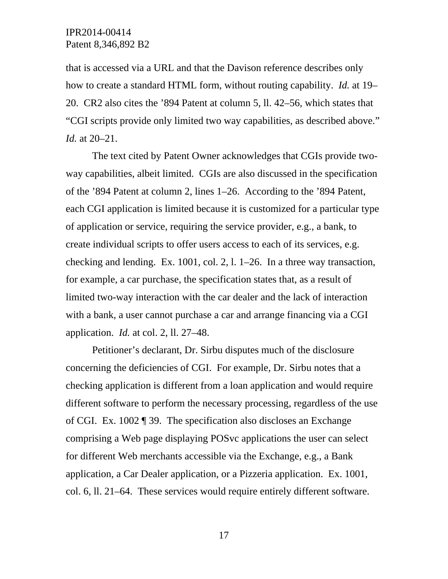that is accessed via a URL and that the Davison reference describes only how to create a standard HTML form, without routing capability. *Id.* at 19– 20. CR2 also cites the '894 Patent at column 5, ll. 42–56, which states that "CGI scripts provide only limited two way capabilities, as described above." *Id.* at 20–21.

The text cited by Patent Owner acknowledges that CGIs provide twoway capabilities, albeit limited. CGIs are also discussed in the specification of the '894 Patent at column 2, lines 1–26. According to the '894 Patent, each CGI application is limited because it is customized for a particular type of application or service, requiring the service provider, e.g., a bank, to create individual scripts to offer users access to each of its services, e.g. checking and lending. Ex. 1001, col. 2, l. 1–26. In a three way transaction, for example, a car purchase, the specification states that, as a result of limited two-way interaction with the car dealer and the lack of interaction with a bank, a user cannot purchase a car and arrange financing via a CGI application. *Id.* at col. 2, ll. 27–48.

Petitioner's declarant, Dr. Sirbu disputes much of the disclosure concerning the deficiencies of CGI. For example, Dr. Sirbu notes that a checking application is different from a loan application and would require different software to perform the necessary processing, regardless of the use of CGI. Ex. 1002 ¶ 39. The specification also discloses an Exchange comprising a Web page displaying POSvc applications the user can select for different Web merchants accessible via the Exchange, e.g., a Bank application, a Car Dealer application, or a Pizzeria application. Ex. 1001, col. 6, ll. 21–64. These services would require entirely different software.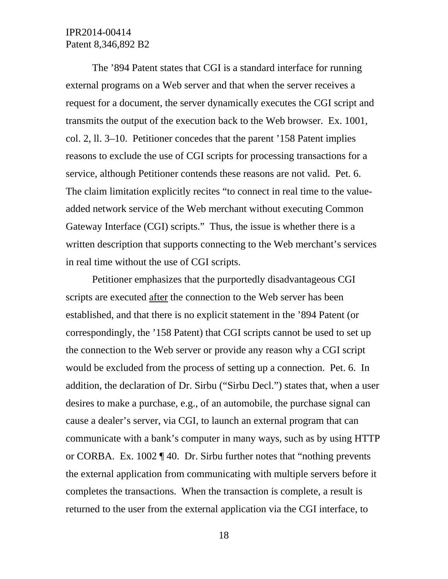The '894 Patent states that CGI is a standard interface for running external programs on a Web server and that when the server receives a request for a document, the server dynamically executes the CGI script and transmits the output of the execution back to the Web browser. Ex. 1001, col. 2, ll. 3–10. Petitioner concedes that the parent '158 Patent implies reasons to exclude the use of CGI scripts for processing transactions for a service, although Petitioner contends these reasons are not valid. Pet. 6. The claim limitation explicitly recites "to connect in real time to the valueadded network service of the Web merchant without executing Common Gateway Interface (CGI) scripts." Thus, the issue is whether there is a written description that supports connecting to the Web merchant's services in real time without the use of CGI scripts.

Petitioner emphasizes that the purportedly disadvantageous CGI scripts are executed after the connection to the Web server has been established, and that there is no explicit statement in the '894 Patent (or correspondingly, the '158 Patent) that CGI scripts cannot be used to set up the connection to the Web server or provide any reason why a CGI script would be excluded from the process of setting up a connection. Pet. 6. In addition, the declaration of Dr. Sirbu ("Sirbu Decl.") states that, when a user desires to make a purchase, e.g., of an automobile, the purchase signal can cause a dealer's server, via CGI, to launch an external program that can communicate with a bank's computer in many ways, such as by using HTTP or CORBA. Ex. 1002 ¶ 40. Dr. Sirbu further notes that "nothing prevents the external application from communicating with multiple servers before it completes the transactions. When the transaction is complete, a result is returned to the user from the external application via the CGI interface, to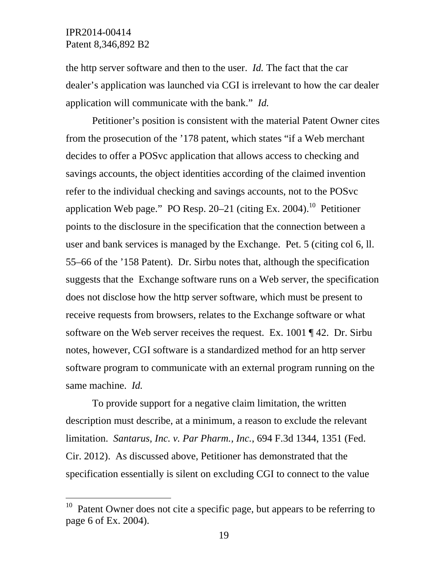$\overline{a}$ 

the http server software and then to the user. *Id.* The fact that the car dealer's application was launched via CGI is irrelevant to how the car dealer application will communicate with the bank." *Id.*

Petitioner's position is consistent with the material Patent Owner cites from the prosecution of the '178 patent, which states "if a Web merchant decides to offer a POSvc application that allows access to checking and savings accounts, the object identities according of the claimed invention refer to the individual checking and savings accounts, not to the POSvc application Web page." PO Resp.  $20-21$  (citing Ex. 2004).<sup>10</sup> Petitioner points to the disclosure in the specification that the connection between a user and bank services is managed by the Exchange. Pet. 5 (citing col 6, ll. 55–66 of the '158 Patent). Dr. Sirbu notes that, although the specification suggests that the Exchange software runs on a Web server, the specification does not disclose how the http server software, which must be present to receive requests from browsers, relates to the Exchange software or what software on the Web server receives the request. Ex. 1001 ¶ 42. Dr. Sirbu notes, however, CGI software is a standardized method for an http server software program to communicate with an external program running on the same machine. *Id.* 

To provide support for a negative claim limitation, the written description must describe, at a minimum, a reason to exclude the relevant limitation. *Santarus, Inc. v. Par Pharm., Inc.*, 694 F.3d 1344, 1351 (Fed. Cir. 2012). As discussed above, Petitioner has demonstrated that the specification essentially is silent on excluding CGI to connect to the value

 $10$  Patent Owner does not cite a specific page, but appears to be referring to page 6 of Ex. 2004).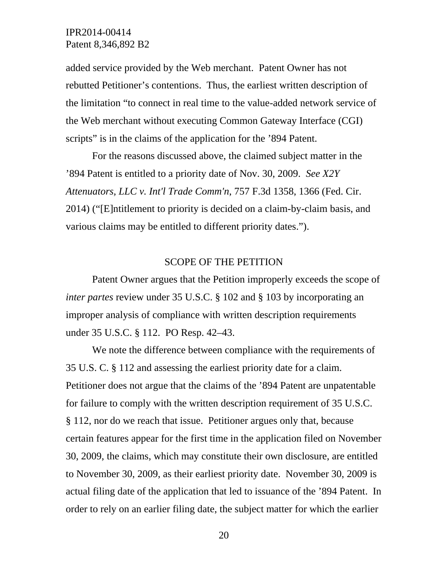added service provided by the Web merchant. Patent Owner has not rebutted Petitioner's contentions. Thus, the earliest written description of the limitation "to connect in real time to the value-added network service of the Web merchant without executing Common Gateway Interface (CGI) scripts" is in the claims of the application for the '894 Patent.

For the reasons discussed above, the claimed subject matter in the '894 Patent is entitled to a priority date of Nov. 30, 2009. *See X2Y Attenuators, LLC v. Int'l Trade Comm'n*, 757 F.3d 1358, 1366 (Fed. Cir. 2014) ("[E]ntitlement to priority is decided on a claim-by-claim basis, and various claims may be entitled to different priority dates.").

#### SCOPE OF THE PETITION

Patent Owner argues that the Petition improperly exceeds the scope of *inter partes* review under 35 U.S.C. § 102 and § 103 by incorporating an improper analysis of compliance with written description requirements under 35 U.S.C. § 112. PO Resp. 42–43.

We note the difference between compliance with the requirements of 35 U.S. C. § 112 and assessing the earliest priority date for a claim. Petitioner does not argue that the claims of the '894 Patent are unpatentable for failure to comply with the written description requirement of 35 U.S.C. § 112, nor do we reach that issue. Petitioner argues only that, because certain features appear for the first time in the application filed on November 30, 2009, the claims, which may constitute their own disclosure, are entitled to November 30, 2009, as their earliest priority date. November 30, 2009 is actual filing date of the application that led to issuance of the '894 Patent. In order to rely on an earlier filing date, the subject matter for which the earlier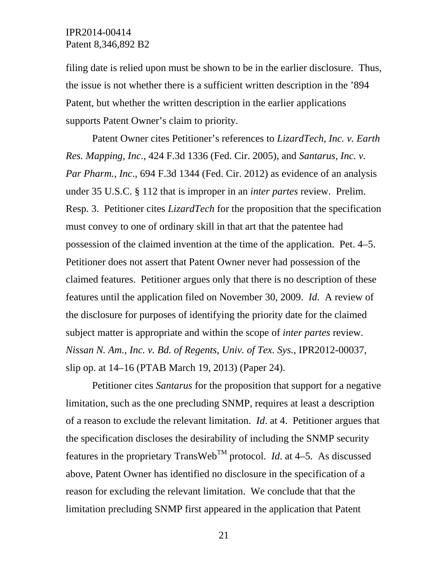filing date is relied upon must be shown to be in the earlier disclosure. Thus, the issue is not whether there is a sufficient written description in the '894 Patent, but whether the written description in the earlier applications supports Patent Owner's claim to priority.

Patent Owner cites Petitioner's references to *LizardTech, Inc. v. Earth Res. Mapping, Inc*., 424 F.3d 1336 (Fed. Cir. 2005), and *Santarus, Inc. v. Par Pharm., Inc*., 694 F.3d 1344 (Fed. Cir. 2012) as evidence of an analysis under 35 U.S.C. § 112 that is improper in an *inter partes* review. Prelim. Resp. 3. Petitioner cites *LizardTech* for the proposition that the specification must convey to one of ordinary skill in that art that the patentee had possession of the claimed invention at the time of the application. Pet. 4–5. Petitioner does not assert that Patent Owner never had possession of the claimed features. Petitioner argues only that there is no description of these features until the application filed on November 30, 2009. *Id*. A review of the disclosure for purposes of identifying the priority date for the claimed subject matter is appropriate and within the scope of *inter partes* review. *Nissan N. Am., Inc. v. Bd. of Regents, Univ. of Tex. Sys.*, IPR2012-00037, slip op. at 14–16 (PTAB March 19, 2013) (Paper 24).

Petitioner cites *Santarus* for the proposition that support for a negative limitation, such as the one precluding SNMP, requires at least a description of a reason to exclude the relevant limitation. *Id*. at 4. Petitioner argues that the specification discloses the desirability of including the SNMP security features in the proprietary TransWeb<sup>TM</sup> protocol. *Id.* at  $4-5$ . As discussed above, Patent Owner has identified no disclosure in the specification of a reason for excluding the relevant limitation. We conclude that that the limitation precluding SNMP first appeared in the application that Patent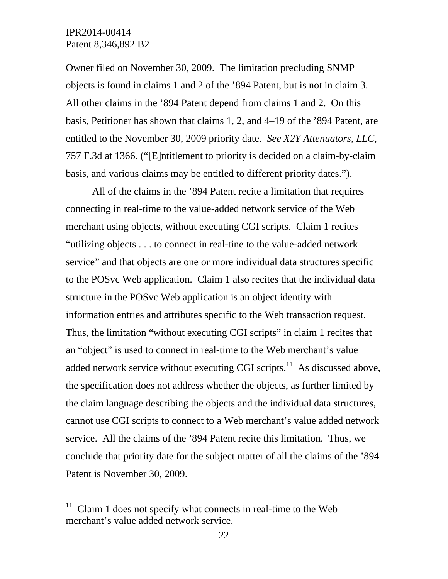$\overline{a}$ 

Owner filed on November 30, 2009. The limitation precluding SNMP objects is found in claims 1 and 2 of the '894 Patent, but is not in claim 3. All other claims in the '894 Patent depend from claims 1 and 2. On this basis, Petitioner has shown that claims 1, 2, and 4–19 of the '894 Patent, are entitled to the November 30, 2009 priority date. *See X2Y Attenuators, LLC,*  757 F.3d at 1366. ("[E]ntitlement to priority is decided on a claim-by-claim basis, and various claims may be entitled to different priority dates.").

All of the claims in the '894 Patent recite a limitation that requires connecting in real-time to the value-added network service of the Web merchant using objects, without executing CGI scripts. Claim 1 recites "utilizing objects . . . to connect in real-tine to the value-added network service" and that objects are one or more individual data structures specific to the POSvc Web application. Claim 1 also recites that the individual data structure in the POSvc Web application is an object identity with information entries and attributes specific to the Web transaction request. Thus, the limitation "without executing CGI scripts" in claim 1 recites that an "object" is used to connect in real-time to the Web merchant's value added network service without executing CGI scripts. $^{11}$  As discussed above, the specification does not address whether the objects, as further limited by the claim language describing the objects and the individual data structures, cannot use CGI scripts to connect to a Web merchant's value added network service. All the claims of the '894 Patent recite this limitation. Thus, we conclude that priority date for the subject matter of all the claims of the '894 Patent is November 30, 2009.

 $11$  Claim 1 does not specify what connects in real-time to the Web merchant's value added network service.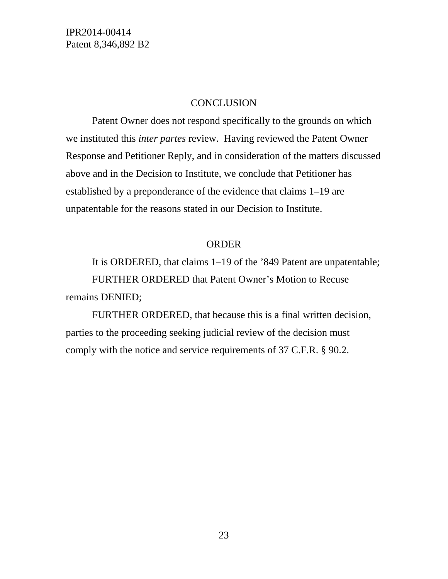#### **CONCLUSION**

Patent Owner does not respond specifically to the grounds on which we instituted this *inter partes* review. Having reviewed the Patent Owner Response and Petitioner Reply, and in consideration of the matters discussed above and in the Decision to Institute, we conclude that Petitioner has established by a preponderance of the evidence that claims 1–19 are unpatentable for the reasons stated in our Decision to Institute.

### ORDER

It is ORDERED, that claims 1–19 of the '849 Patent are unpatentable; FURTHER ORDERED that Patent Owner's Motion to Recuse remains DENIED;

FURTHER ORDERED, that because this is a final written decision, parties to the proceeding seeking judicial review of the decision must comply with the notice and service requirements of 37 C.F.R. § 90.2.